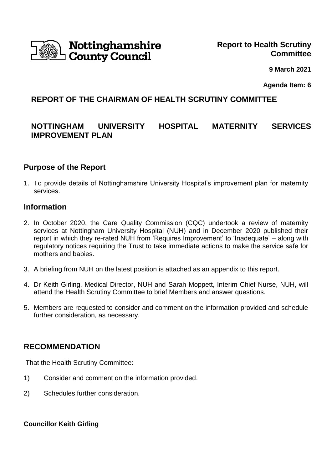

 **9 March 2021**

**Agenda Item: 6** 

## **REPORT OF THE CHAIRMAN OF HEALTH SCRUTINY COMMITTEE**

# **NOTTINGHAM UNIVERSITY HOSPITAL MATERNITY SERVICES IMPROVEMENT PLAN**

#### **Purpose of the Report**

1. To provide details of Nottinghamshire University Hospital's improvement plan for maternity services.

#### **Information**

- 2. In October 2020, the Care Quality Commission (CQC) undertook a review of maternity services at Nottingham University Hospital (NUH) and in December 2020 published their report in which they re-rated NUH from 'Requires Improvement' to 'Inadequate' – along with regulatory notices requiring the Trust to take immediate actions to make the service safe for mothers and babies.
- 3. A briefing from NUH on the latest position is attached as an appendix to this report.
- 4. Dr Keith Girling, Medical Director, NUH and Sarah Moppett, Interim Chief Nurse, NUH, will attend the Health Scrutiny Committee to brief Members and answer questions.
- 5. Members are requested to consider and comment on the information provided and schedule further consideration, as necessary.

#### **RECOMMENDATION**

That the Health Scrutiny Committee:

- 1) Consider and comment on the information provided.
- 2) Schedules further consideration.

**Councillor Keith Girling**